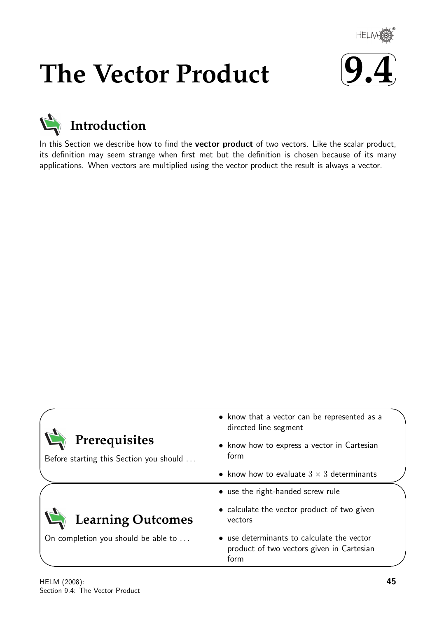

# **The Vector Product**





In this Section we describe how to find the vector product of two vectors. Like the scalar product, its definition may seem strange when first met but the definition is chosen because of its many applications. When vectors are multiplied using the vector product the result is always a vector.

|                                                          | • know that a vector can be represented as a<br>directed line segment                           |
|----------------------------------------------------------|-------------------------------------------------------------------------------------------------|
| Prerequisites<br>Before starting this Section you should | • know how to express a vector in Cartesian<br>form                                             |
|                                                          | • know how to evaluate $3 \times 3$ determinants                                                |
|                                                          | • use the right-handed screw rule                                                               |
| <b>Learning Outcomes</b>                                 | • calculate the vector product of two given<br>vectors                                          |
| On completion you should be able to                      | • use determinants to calculate the vector<br>product of two vectors given in Cartesian<br>form |

 $\overline{\phantom{0}}$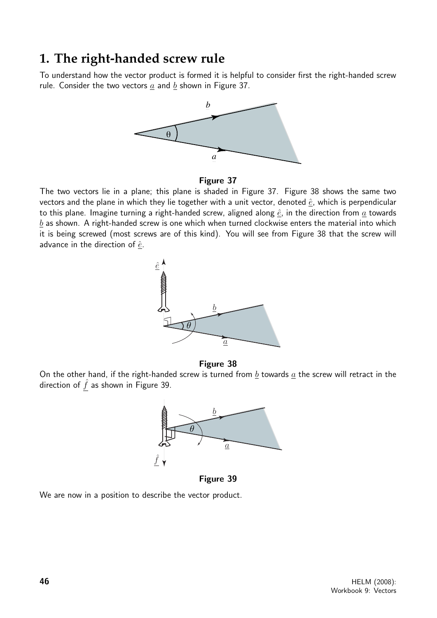# **1. The right-handed screw rule**

To understand how the vector product is formed it is helpful to consider first the right-handed screw rule. Consider the two vectors  $a$  and  $b$  shown in Figure 37.



### Figure 37

The two vectors lie in a plane; this plane is shaded in Figure 37. Figure 38 shows the same two vectors and the plane in which they lie together with a unit vector, denoted  $\hat{e}$ , which is perpendicular to this plane. Imagine turning a right-handed screw, aligned along  $\hat{e}$ , in the direction from  $\underline{a}$  towards  $b$  as shown. A right-handed screw is one which when turned clockwise enters the material into which it is being screwed (most screws are of this kind). You will see from Figure 38 that the screw will advance in the direction of  $\hat{e}$ .



#### Figure 38

On the other hand, if the right-handed screw is turned from  $\underline{b}$  towards  $\underline{a}$  the screw will retract in the direction of  $f$  as shown in Figure 39.



Figure 39

We are now in a position to describe the vector product.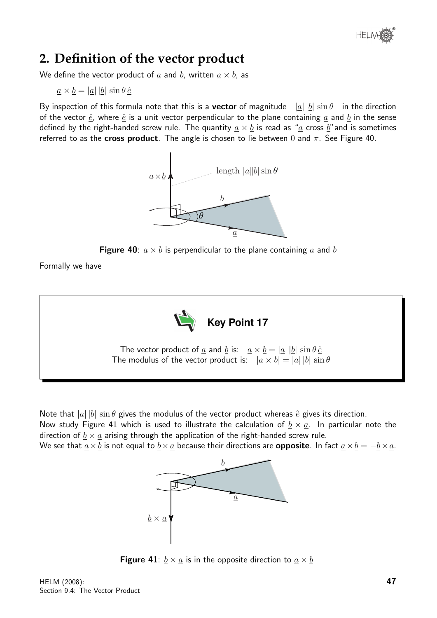

# **2. Definition of the vector product**

We define the vector product of  $\underline{a}$  and  $\underline{b}$ , written  $\underline{a} \times \underline{b}$ , as

$$
\underline{a} \times \underline{b} = |\underline{a}| |\underline{b}| \sin \theta \hat{e}
$$

By inspection of this formula note that this is a **vector** of magnitude  $|\underline{a}| |\underline{b}| \sin \theta$  in the direction of the vector  $\hat{e}$ , where  $\hat{e}$  is a unit vector perpendicular to the plane containing  $a$  and  $b$  in the sense defined by the right-handed screw rule. The quantity  $\underline{a} \times \underline{b}$  is read as " $\underline{a}$  cross  $\underline{b}$ " and is sometimes referred to as the cross product. The angle is chosen to lie between 0 and  $\pi$ . See Figure 40.





Formally we have



Note that  $|a||b| \sin \theta$  gives the modulus of the vector product whereas  $\hat{e}$  gives its direction.

Now study Figure 41 which is used to illustrate the calculation of  $b \times a$ . In particular note the direction of  $\underline{b} \times \underline{a}$  arising through the application of the right-handed screw rule.

We see that  $\underline{a} \times \underline{b}$  is not equal to  $\underline{b} \times \underline{a}$  because their directions are **opposite**. In fact  $\underline{a} \times \underline{b} = -\underline{b} \times \underline{a}$ .



**Figure 41**:  $\underline{b} \times \underline{a}$  is in the opposite direction to  $\underline{a} \times \underline{b}$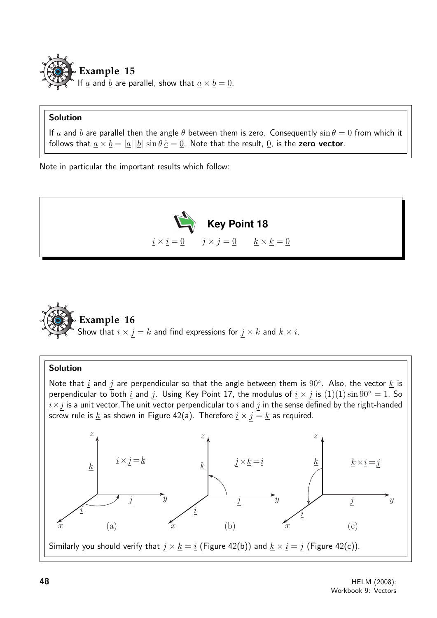

## Solution

If  $\underline{a}$  and  $\underline{b}$  are parallel then the angle  $\theta$  between them is zero. Consequently  $\sin \theta = 0$  from which it follows that  $\underline{a} \times \underline{b} = |\underline{a}| |\underline{b}| \sin \theta \hat{e} = \underline{0}$ . Note that the result,  $\underline{0}$ , is the zero vector.

Note in particular the important results which follow:





## Solution

Note that  $\underline{i}$  and  $j$  are perpendicular so that the angle between them is  $90^{\circ}$ . Also, the vector  $\underline{k}$  is perpendicular to both  $\underline{i}$  and  $j$ . Using Key Point 17, the modulus of  $\underline{i} \times j$  is  $(1)(1) \sin 90^\circ = 1$ . So  $i \times j$  is a unit vector. The unit vector perpendicular to  $i$  and  $j$  in the sense defined by the right-handed screw rule is  $\underline{k}$  as shown in Figure 42(a). Therefore  $\underline{i} \times \overline{j} = \underline{k}$  as required.

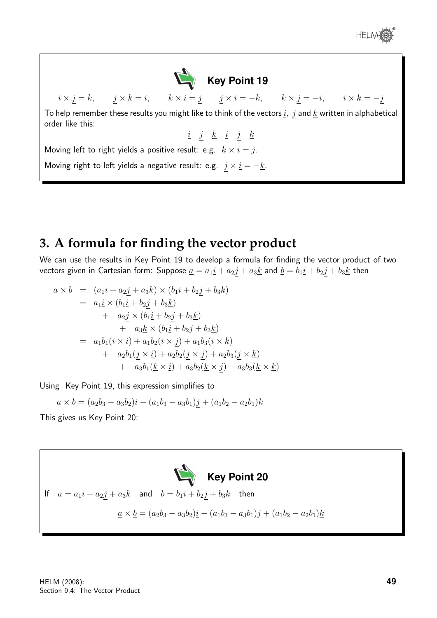



To help remember these results you might like to think of the vectors  $\underline{i}$ ,  $j$  and  $\underline{k}$  written in alphabetical order like this:

 $i \quad j \quad \underline{k} \quad i \quad j \quad \underline{k}$ 

Moving left to right yields a positive result: e.g.  $k \times i = j$ .

Moving right to left yields a negative result: e.g.  $j \times \underline{i} = -\underline{k}$ .

# **3. A formula for finding the vector product**

We can use the results in Key Point 19 to develop a formula for finding the vector product of two vectors given in Cartesian form: Suppose  $\underline{a} = a_1 \underline{i} + a_2 \underline{j} + a_3 \underline{k}$  and  $\underline{b} = b_1 \underline{i} + b_2 \underline{j} + b_3 \underline{k}$  then

$$
\underline{a} \times \underline{b} = (a_1 \underline{i} + a_2 \underline{j} + a_3 \underline{k}) \times (b_1 \underline{i} + b_2 \underline{j} + b_3 \underline{k})
$$
  
\n
$$
= a_1 \underline{i} \times (b_1 \underline{i} + b_2 \underline{j} + b_3 \underline{k})
$$
  
\n
$$
+ a_2 \underline{j} \times (b_1 \underline{i} + b_2 \underline{j} + b_3 \underline{k})
$$
  
\n
$$
+ a_3 \underline{k} \times (b_1 \underline{i} + b_2 \underline{j} + b_3 \underline{k})
$$
  
\n
$$
= a_1 b_1 (\underline{i} \times \underline{i}) + a_1 b_2 (\underline{i} \times \underline{j}) + a_1 b_3 (\underline{i} \times \underline{k})
$$
  
\n
$$
+ a_2 b_1 (\underline{j} \times \underline{i}) + a_2 b_2 (\underline{j} \times \underline{j}) + a_2 b_3 (\underline{j} \times \underline{k})
$$
  
\n
$$
+ a_3 b_1 (\underline{k} \times \underline{i}) + a_3 b_2 (\underline{k} \times \underline{j}) + a_3 b_3 (\underline{k} \times \underline{k})
$$

Using Key Point 19, this expression simplifies to

 $\underline{a} \times \underline{b} = (a_2b_3 - a_3b_2)\underline{i} - (a_1b_3 - a_3b_1)\underline{j} + (a_1b_2 - a_2b_1)\underline{k}$ 

This gives us Key Point 20:

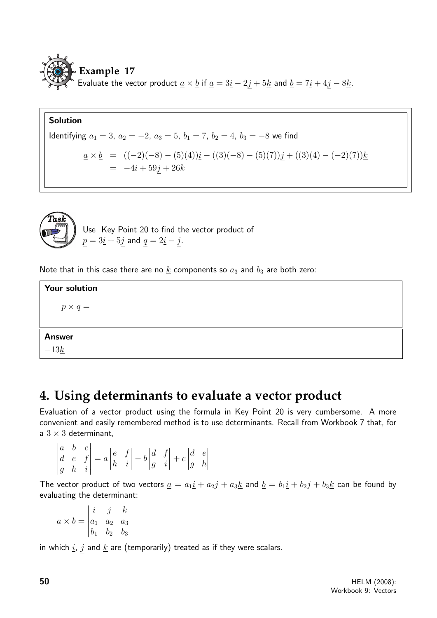

## Solution

Identifying 
$$
a_1 = 3
$$
,  $a_2 = -2$ ,  $a_3 = 5$ ,  $b_1 = 7$ ,  $b_2 = 4$ ,  $b_3 = -8$  we find

$$
\underline{a} \times \underline{b} = ((-2)(-8) - (5)(4))\underline{i} - ((3)(-8) - (5)(7))\underline{j} + ((3)(4) - (-2)(7))\underline{k} \n= -4\underline{i} + 59j + 26\underline{k}
$$



Use Key Point 20 to find the vector product of  $p = 3\underline{i} + 5\underline{j}$  and  $q = 2\underline{i} - \underline{j}$ .

Note that in this case there are no  $k$  components so  $a_3$  and  $b_3$  are both zero:

Your solution

 $p \times q =$ 

## Answer

 $-13k$ 

# **4. Using determinants to evaluate a vector product**

Evaluation of a vector product using the formula in Key Point 20 is very cumbersome. A more convenient and easily remembered method is to use determinants. Recall from Workbook 7 that, for a  $3 \times 3$  determinant.

$$
\begin{vmatrix} a & b & c \\ d & e & f \\ g & h & i \end{vmatrix} = a \begin{vmatrix} e & f \\ h & i \end{vmatrix} - b \begin{vmatrix} d & f \\ g & i \end{vmatrix} + c \begin{vmatrix} d & e \\ g & h \end{vmatrix}
$$

The vector product of two vectors  $\underline{a} = a_1 \underline{i} + a_2 \underline{j} + a_3 \underline{k}$  and  $\underline{b} = b_1 \underline{i} + b_2 \underline{j} + b_3 \underline{k}$  can be found by evaluating the determinant:

$$
\underline{a} \times \underline{b} = \begin{vmatrix} \underline{i} & \underline{j} & \underline{k} \\ a_1 & a_2 & a_3 \\ b_1 & b_2 & b_3 \end{vmatrix}
$$

 $\overline{a}$ 

in which  $i$ ,  $j$  and  $k$  are (temporarily) treated as if they were scalars.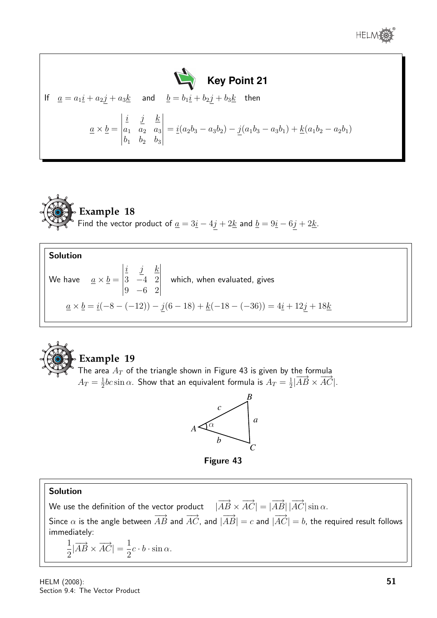





 $b_1$   $b_2$   $b_3$ 

Solution We have  $\quad \underline{a}\times \underline{b} =$   $i \quad j \quad k$ 3 −4 2 9 −6 2 which, when evaluated, gives  $\underline{a} \times \underline{b} = \underline{i}(-8 - (-12)) - \underline{j}(6 - 18) + \underline{k}(-18 - (-36)) = 4\underline{i} + 12\underline{j} + 18\underline{k}$ 



## **Example 19**

The area  $A_T$  of the triangle shown in Figure 43 is given by the formula  $A_T=\frac{1}{2}$  $\frac{1}{2}bc\sin\alpha$ . Show that an equivalent formula is  $A_T=\frac{1}{2}$  $\frac{1}{2}$  $|\overrightarrow{AB} \times \overrightarrow{AC}|$ .



Figure 43

## Solution

We use the definition of the vector product  $-|\overrightarrow{AB}\times\overrightarrow{AC}|=|\overrightarrow{AB}|\,|\overrightarrow{AC}|\sin\alpha.$ Since  $\alpha$  is the angle between  $\overrightarrow{AB}$  and  $\overrightarrow{AC}$ , and  $|\overrightarrow{AB}|=c$  and  $|\overrightarrow{AC}|=b$ , the required result follows immediately:

$$
\frac{1}{2}|\overrightarrow{AB} \times \overrightarrow{AC}| = \frac{1}{2}c \cdot b \cdot \sin \alpha.
$$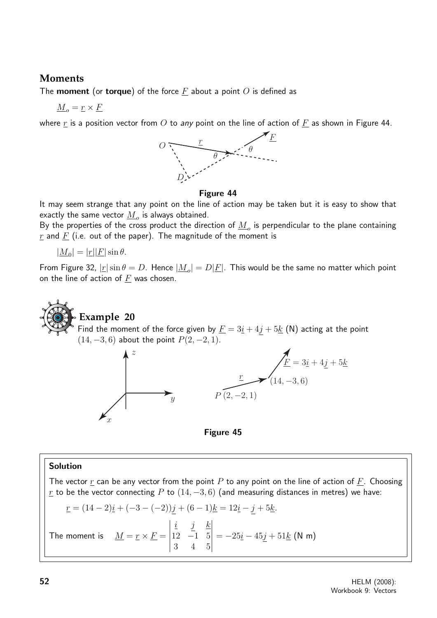## **Moments**

The **moment** (or **torque**) of the force  $\underline{F}$  about a point O is defined as

$$
\underline{M}_o = \underline{r} \times \underline{F}
$$

where  $\underline{r}$  is a position vector from  $O$  to any point on the line of action of  $\underline{F}$  as shown in Figure 44.





It may seem strange that any point on the line of action may be taken but it is easy to show that exactly the same vector  $\underline{M}_{o}$  is always obtained.

By the properties of the cross product the direction of  $\underline{M}_{o}$  is perpendicular to the plane containing  $\underline{r}$  and  $\underline{F}$  (i.e. out of the paper). The magnitude of the moment is

$$
|\underline{M}_0| = |\underline{r}||\underline{F}| \sin \theta.
$$

*x*

From Figure 32,  $|\underline{r}| \sin \theta = D$ . Hence  $|\underline{M}_o| = D|\underline{F}|$ . This would be the same no matter which point on the line of action of  $F$  was chosen.

# **Example 20** Find the moment of the force given by  $\underline{F} = 3\underline{i} + 4\underline{j} + 5\underline{k}$  (N) acting at the point  $(14, -3, 6)$  about the point  $P(2, -2, 1)$ .  $F = 3i + 4j + 5k$ *z*





## Solution

The vector  $r$  can be any vector from the point P to any point on the line of action of  $F$ . Choosing r to be the vector connecting P to  $(14, -3, 6)$  (and measuring distances in metres) we have:

$$
\underline{r} = (14 - 2)\underline{i} + (-3 - (-2))\underline{j} + (6 - 1)\underline{k} = 12\underline{i} - \underline{j} + 5\underline{k}.
$$

The moment is 
$$
\underline{M} = \underline{r} \times \underline{F} = \begin{vmatrix} \underline{i} & \underline{j} & \underline{k} \\ 12 & -1 & 5 \\ 3 & 4 & 5 \end{vmatrix} = -25\underline{i} - 45\underline{j} + 51\underline{k}
$$
 (N m)